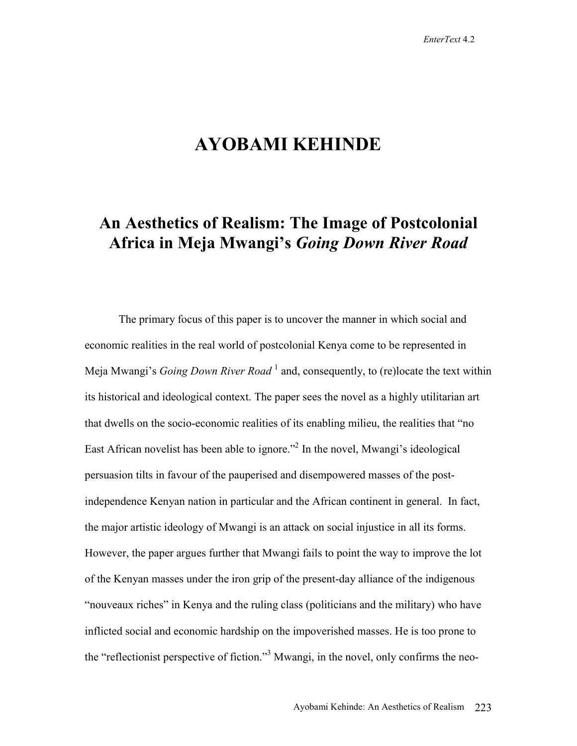## **AYOBAMI KEHINDE**

## **An Aesthetics of Realism: The Image of Postcolonial Africa in Meja Mwangi's** *Going Down River Road*

The primary focus of this paper is to uncover the manner in which social and economic realities in the real world of postcolonial Kenya come to be represented in Meja Mwangi's *Going Down River Road*<sup>1</sup> and, consequently, to (re)locate the text within its historical and ideological context. The paper sees the novel as a highly utilitarian art that dwells on the socio-economic realities of its enabling milieu, the realities that "no East African novelist has been able to ignore."<sup>2</sup> In the novel, Mwangi's ideological persuasion tilts in favour of the pauperised and disempowered masses of the postindependence Kenyan nation in particular and the African continent in general. In fact, the major artistic ideology of Mwangi is an attack on social injustice in all its forms. However, the paper argues further that Mwangi fails to point the way to improve the lot of the Kenyan masses under the iron grip of the present-day alliance of the indigenous "nouveaux riches" in Kenya and the ruling class (politicians and the military) who have inflicted social and economic hardship on the impoverished masses. He is too prone to the "reflectionist perspective of fiction."<sup>3</sup> Mwangi, in the novel, only confirms the neo-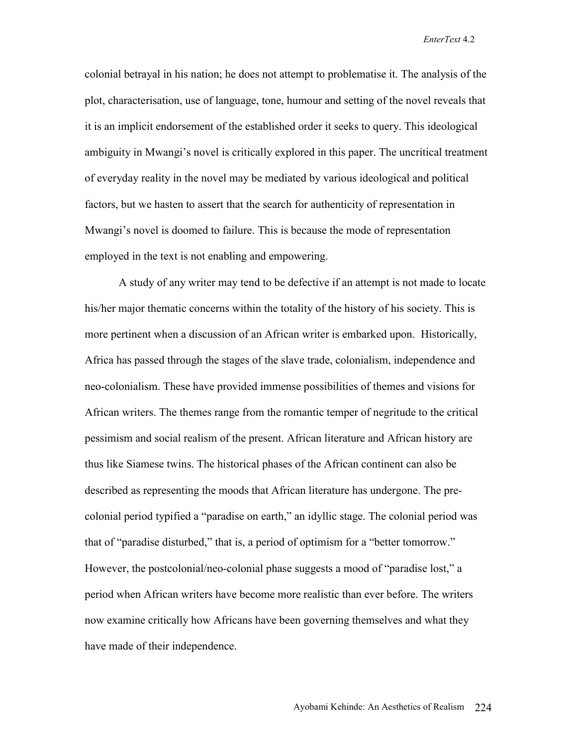colonial betrayal in his nation; he does not attempt to problematise it. The analysis of the plot, characterisation, use of language, tone, humour and setting of the novel reveals that it is an implicit endorsement of the established order it seeks to query. This ideological ambiguity in Mwangi's novel is critically explored in this paper. The uncritical treatment of everyday reality in the novel may be mediated by various ideological and political factors, but we hasten to assert that the search for authenticity of representation in Mwangi's novel is doomed to failure. This is because the mode of representation employed in the text is not enabling and empowering.

A study of any writer may tend to be defective if an attempt is not made to locate his/her major thematic concerns within the totality of the history of his society. This is more pertinent when a discussion of an African writer is embarked upon. Historically, Africa has passed through the stages of the slave trade, colonialism, independence and neo-colonialism. These have provided immense possibilities of themes and visions for African writers. The themes range from the romantic temper of negritude to the critical pessimism and social realism of the present. African literature and African history are thus like Siamese twins. The historical phases of the African continent can also be described as representing the moods that African literature has undergone. The precolonial period typified a "paradise on earth," an idyllic stage. The colonial period was that of "paradise disturbed," that is, a period of optimism for a "better tomorrow." However, the postcolonial/neo-colonial phase suggests a mood of "paradise lost," a period when African writers have become more realistic than ever before. The writers now examine critically how Africans have been governing themselves and what they have made of their independence.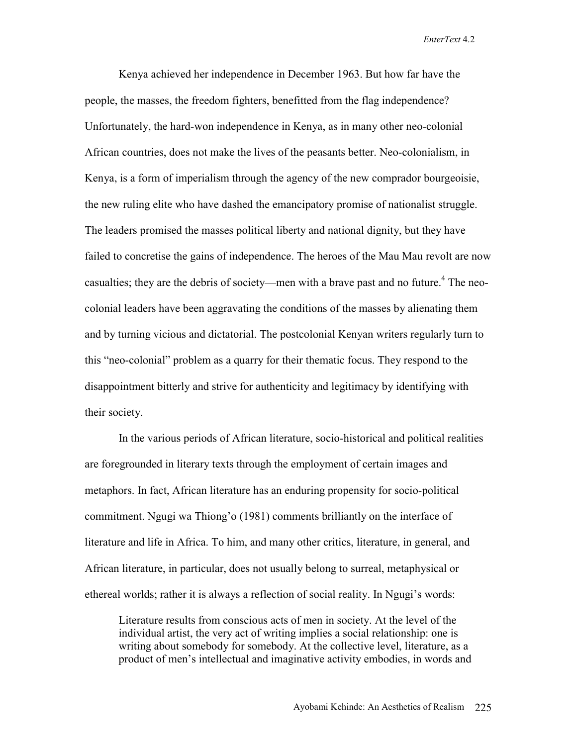Kenya achieved her independence in December 1963. But how far have the people, the masses, the freedom fighters, benefitted from the flag independence? Unfortunately, the hard-won independence in Kenya, as in many other neo-colonial African countries, does not make the lives of the peasants better. Neo-colonialism, in Kenya, is a form of imperialism through the agency of the new comprador bourgeoisie, the new ruling elite who have dashed the emancipatory promise of nationalist struggle. The leaders promised the masses political liberty and national dignity, but they have failed to concretise the gains of independence. The heroes of the Mau Mau revolt are now casualties; they are the debris of society—men with a brave past and no future.<sup>4</sup> The neocolonial leaders have been aggravating the conditions of the masses by alienating them and by turning vicious and dictatorial. The postcolonial Kenyan writers regularly turn to this "neo-colonial" problem as a quarry for their thematic focus. They respond to the disappointment bitterly and strive for authenticity and legitimacy by identifying with their society.

 In the various periods of African literature, socio-historical and political realities are foregrounded in literary texts through the employment of certain images and metaphors. In fact, African literature has an enduring propensity for socio-political commitment. Ngugi wa Thiong'o (1981) comments brilliantly on the interface of literature and life in Africa. To him, and many other critics, literature, in general, and African literature, in particular, does not usually belong to surreal, metaphysical or ethereal worlds; rather it is always a reflection of social reality. In Ngugi's words:

Literature results from conscious acts of men in society. At the level of the individual artist, the very act of writing implies a social relationship: one is writing about somebody for somebody. At the collective level, literature, as a product of men's intellectual and imaginative activity embodies, in words and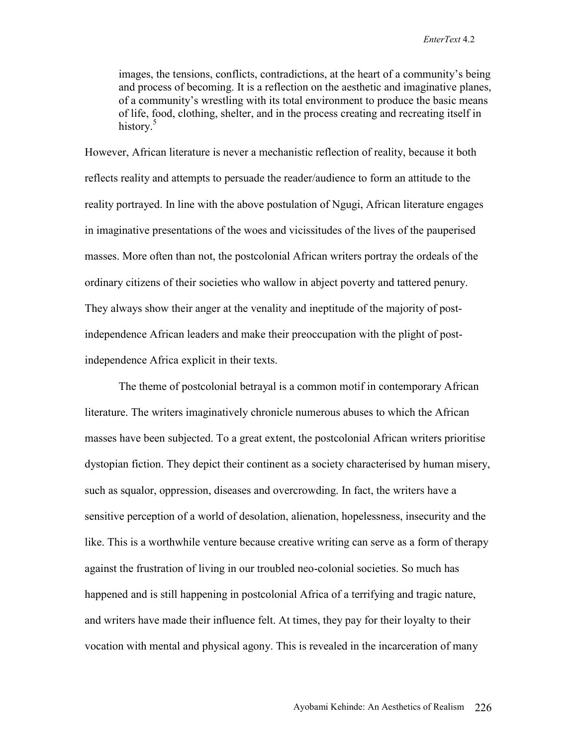images, the tensions, conflicts, contradictions, at the heart of a community's being and process of becoming. It is a reflection on the aesthetic and imaginative planes, of a community's wrestling with its total environment to produce the basic means of life, food, clothing, shelter, and in the process creating and recreating itself in history.<sup>5</sup>

However, African literature is never a mechanistic reflection of reality, because it both reflects reality and attempts to persuade the reader/audience to form an attitude to the reality portrayed. In line with the above postulation of Ngugi, African literature engages in imaginative presentations of the woes and vicissitudes of the lives of the pauperised masses. More often than not, the postcolonial African writers portray the ordeals of the ordinary citizens of their societies who wallow in abject poverty and tattered penury. They always show their anger at the venality and ineptitude of the majority of postindependence African leaders and make their preoccupation with the plight of postindependence Africa explicit in their texts.

The theme of postcolonial betrayal is a common motif in contemporary African literature. The writers imaginatively chronicle numerous abuses to which the African masses have been subjected. To a great extent, the postcolonial African writers prioritise dystopian fiction. They depict their continent as a society characterised by human misery, such as squalor, oppression, diseases and overcrowding. In fact, the writers have a sensitive perception of a world of desolation, alienation, hopelessness, insecurity and the like. This is a worthwhile venture because creative writing can serve as a form of therapy against the frustration of living in our troubled neo-colonial societies. So much has happened and is still happening in postcolonial Africa of a terrifying and tragic nature, and writers have made their influence felt. At times, they pay for their loyalty to their vocation with mental and physical agony. This is revealed in the incarceration of many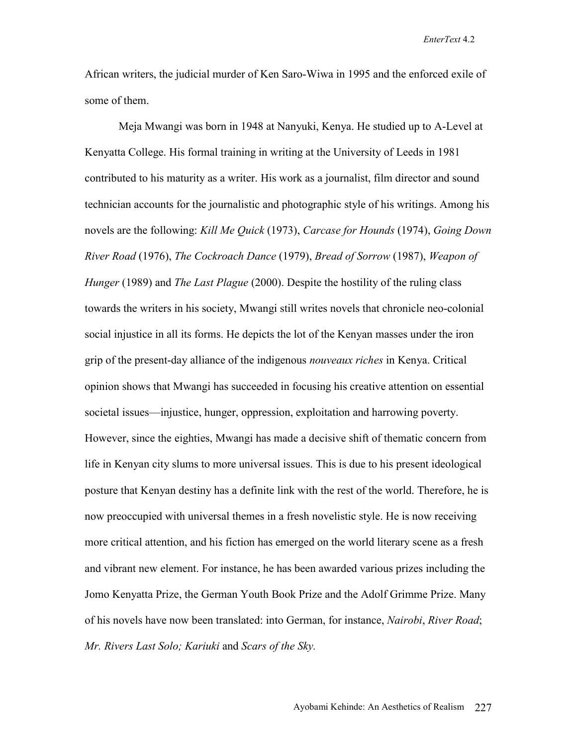African writers, the judicial murder of Ken Saro-Wiwa in 1995 and the enforced exile of some of them.

Meja Mwangi was born in 1948 at Nanyuki, Kenya. He studied up to A-Level at Kenyatta College. His formal training in writing at the University of Leeds in 1981 contributed to his maturity as a writer. His work as a journalist, film director and sound technician accounts for the journalistic and photographic style of his writings. Among his novels are the following: *Kill Me Quick* (1973), *Carcase for Hounds* (1974), *Going Down River Road* (1976), *The Cockroach Dance* (1979), *Bread of Sorrow* (1987), *Weapon of Hunger* (1989) and *The Last Plague* (2000). Despite the hostility of the ruling class towards the writers in his society, Mwangi still writes novels that chronicle neo-colonial social injustice in all its forms. He depicts the lot of the Kenyan masses under the iron grip of the present-day alliance of the indigenous *nouveaux riches* in Kenya. Critical opinion shows that Mwangi has succeeded in focusing his creative attention on essential societal issues—injustice, hunger, oppression, exploitation and harrowing poverty. However, since the eighties, Mwangi has made a decisive shift of thematic concern from life in Kenyan city slums to more universal issues. This is due to his present ideological posture that Kenyan destiny has a definite link with the rest of the world. Therefore, he is now preoccupied with universal themes in a fresh novelistic style. He is now receiving more critical attention, and his fiction has emerged on the world literary scene as a fresh and vibrant new element. For instance, he has been awarded various prizes including the Jomo Kenyatta Prize, the German Youth Book Prize and the Adolf Grimme Prize. Many of his novels have now been translated: into German, for instance, *Nairobi*, *River Road*; *Mr. Rivers Last Solo; Kariuki* and *Scars of the Sky.*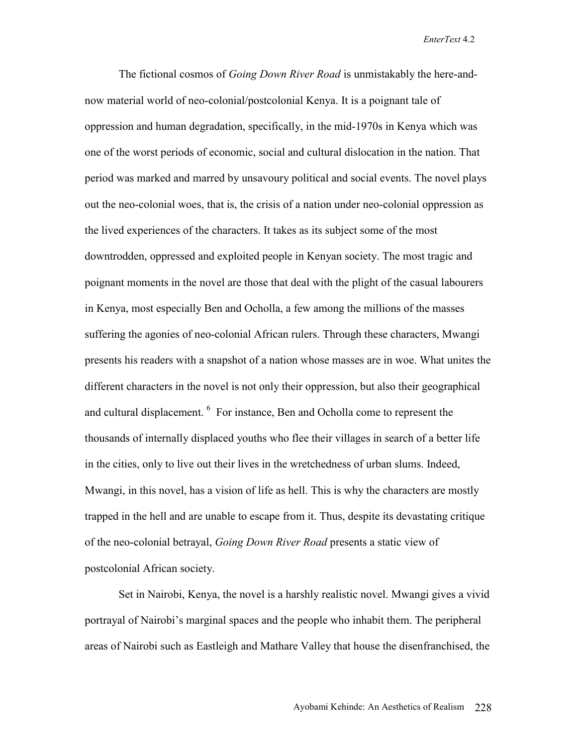The fictional cosmos of *Going Down River Road* is unmistakably the here-andnow material world of neo-colonial/postcolonial Kenya. It is a poignant tale of oppression and human degradation, specifically, in the mid-1970s in Kenya which was one of the worst periods of economic, social and cultural dislocation in the nation. That period was marked and marred by unsavoury political and social events. The novel plays out the neo-colonial woes, that is, the crisis of a nation under neo-colonial oppression as the lived experiences of the characters. It takes as its subject some of the most downtrodden, oppressed and exploited people in Kenyan society. The most tragic and poignant moments in the novel are those that deal with the plight of the casual labourers in Kenya, most especially Ben and Ocholla, a few among the millions of the masses suffering the agonies of neo-colonial African rulers. Through these characters, Mwangi presents his readers with a snapshot of a nation whose masses are in woe. What unites the different characters in the novel is not only their oppression, but also their geographical and cultural displacement.  $<sup>6</sup>$  For instance, Ben and Ocholla come to represent the</sup> thousands of internally displaced youths who flee their villages in search of a better life in the cities, only to live out their lives in the wretchedness of urban slums. Indeed, Mwangi, in this novel, has a vision of life as hell. This is why the characters are mostly trapped in the hell and are unable to escape from it. Thus, despite its devastating critique of the neo-colonial betrayal, *Going Down River Road* presents a static view of postcolonial African society.

 Set in Nairobi, Kenya, the novel is a harshly realistic novel. Mwangi gives a vivid portrayal of Nairobi's marginal spaces and the people who inhabit them. The peripheral areas of Nairobi such as Eastleigh and Mathare Valley that house the disenfranchised, the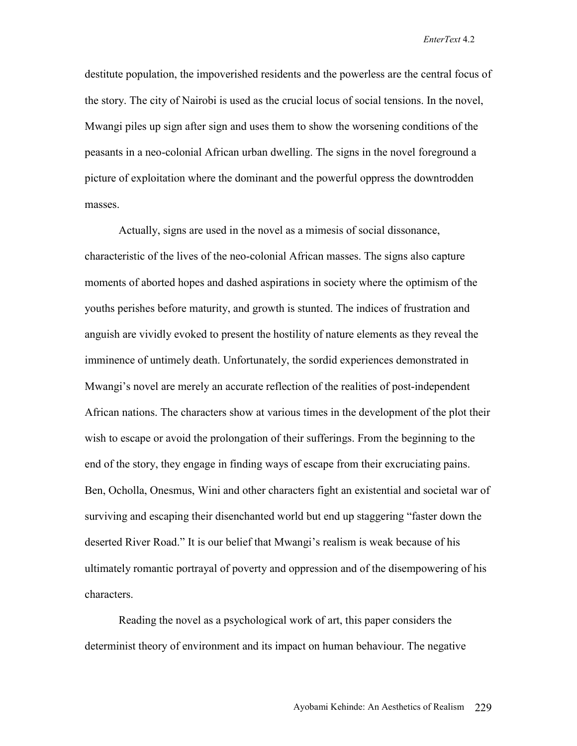destitute population, the impoverished residents and the powerless are the central focus of the story. The city of Nairobi is used as the crucial locus of social tensions. In the novel, Mwangi piles up sign after sign and uses them to show the worsening conditions of the peasants in a neo-colonial African urban dwelling. The signs in the novel foreground a picture of exploitation where the dominant and the powerful oppress the downtrodden masses.

Actually, signs are used in the novel as a mimesis of social dissonance, characteristic of the lives of the neo-colonial African masses. The signs also capture moments of aborted hopes and dashed aspirations in society where the optimism of the youths perishes before maturity, and growth is stunted. The indices of frustration and anguish are vividly evoked to present the hostility of nature elements as they reveal the imminence of untimely death. Unfortunately, the sordid experiences demonstrated in Mwangi's novel are merely an accurate reflection of the realities of post-independent African nations. The characters show at various times in the development of the plot their wish to escape or avoid the prolongation of their sufferings. From the beginning to the end of the story, they engage in finding ways of escape from their excruciating pains. Ben, Ocholla, Onesmus, Wini and other characters fight an existential and societal war of surviving and escaping their disenchanted world but end up staggering "faster down the deserted River Road." It is our belief that Mwangi's realism is weak because of his ultimately romantic portrayal of poverty and oppression and of the disempowering of his characters.

 Reading the novel as a psychological work of art, this paper considers the determinist theory of environment and its impact on human behaviour. The negative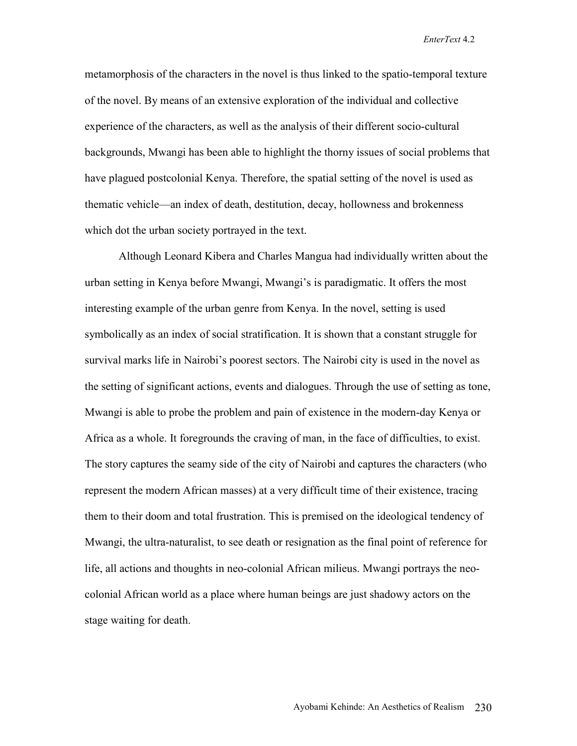metamorphosis of the characters in the novel is thus linked to the spatio-temporal texture of the novel. By means of an extensive exploration of the individual and collective experience of the characters, as well as the analysis of their different socio-cultural backgrounds, Mwangi has been able to highlight the thorny issues of social problems that have plagued postcolonial Kenya. Therefore, the spatial setting of the novel is used as thematic vehicle—an index of death, destitution, decay, hollowness and brokenness which dot the urban society portrayed in the text.

Although Leonard Kibera and Charles Mangua had individually written about the urban setting in Kenya before Mwangi, Mwangi's is paradigmatic. It offers the most interesting example of the urban genre from Kenya. In the novel, setting is used symbolically as an index of social stratification. It is shown that a constant struggle for survival marks life in Nairobi's poorest sectors. The Nairobi city is used in the novel as the setting of significant actions, events and dialogues. Through the use of setting as tone, Mwangi is able to probe the problem and pain of existence in the modern-day Kenya or Africa as a whole. It foregrounds the craving of man, in the face of difficulties, to exist. The story captures the seamy side of the city of Nairobi and captures the characters (who represent the modern African masses) at a very difficult time of their existence, tracing them to their doom and total frustration. This is premised on the ideological tendency of Mwangi, the ultra-naturalist, to see death or resignation as the final point of reference for life, all actions and thoughts in neo-colonial African milieus. Mwangi portrays the neocolonial African world as a place where human beings are just shadowy actors on the stage waiting for death.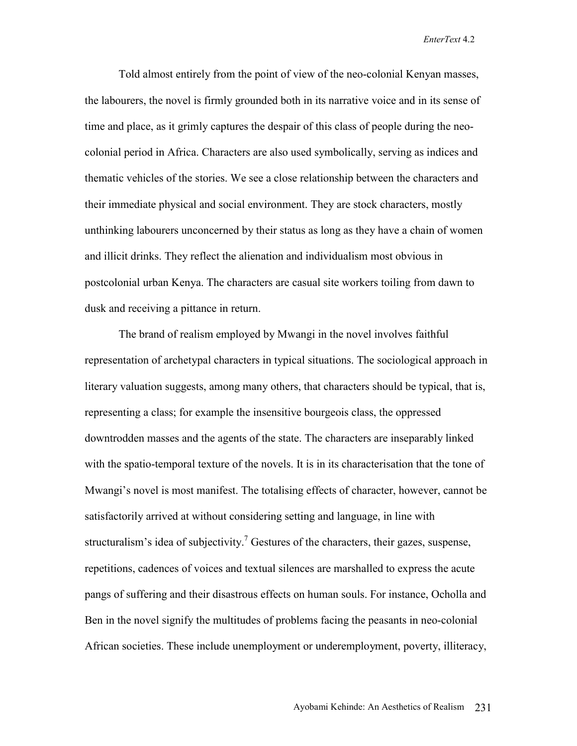Told almost entirely from the point of view of the neo-colonial Kenyan masses, the labourers, the novel is firmly grounded both in its narrative voice and in its sense of time and place, as it grimly captures the despair of this class of people during the neocolonial period in Africa. Characters are also used symbolically, serving as indices and thematic vehicles of the stories. We see a close relationship between the characters and their immediate physical and social environment. They are stock characters, mostly unthinking labourers unconcerned by their status as long as they have a chain of women and illicit drinks. They reflect the alienation and individualism most obvious in postcolonial urban Kenya. The characters are casual site workers toiling from dawn to dusk and receiving a pittance in return.

The brand of realism employed by Mwangi in the novel involves faithful representation of archetypal characters in typical situations. The sociological approach in literary valuation suggests, among many others, that characters should be typical, that is, representing a class; for example the insensitive bourgeois class, the oppressed downtrodden masses and the agents of the state. The characters are inseparably linked with the spatio-temporal texture of the novels. It is in its characterisation that the tone of Mwangi's novel is most manifest. The totalising effects of character, however, cannot be satisfactorily arrived at without considering setting and language, in line with structuralism's idea of subjectivity.<sup>7</sup> Gestures of the characters, their gazes, suspense, repetitions, cadences of voices and textual silences are marshalled to express the acute pangs of suffering and their disastrous effects on human souls. For instance, Ocholla and Ben in the novel signify the multitudes of problems facing the peasants in neo-colonial African societies. These include unemployment or underemployment, poverty, illiteracy,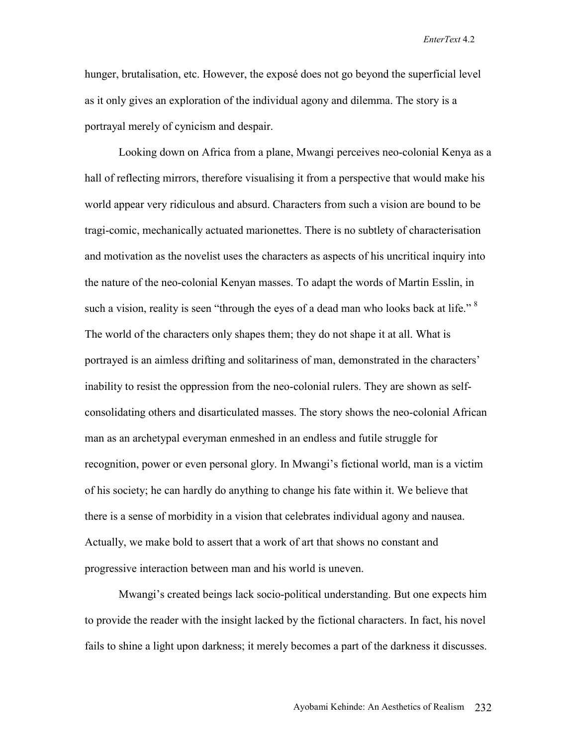hunger, brutalisation, etc. However, the exposé does not go beyond the superficial level as it only gives an exploration of the individual agony and dilemma. The story is a portrayal merely of cynicism and despair.

Looking down on Africa from a plane, Mwangi perceives neo-colonial Kenya as a hall of reflecting mirrors, therefore visualising it from a perspective that would make his world appear very ridiculous and absurd. Characters from such a vision are bound to be tragi-comic, mechanically actuated marionettes. There is no subtlety of characterisation and motivation as the novelist uses the characters as aspects of his uncritical inquiry into the nature of the neo-colonial Kenyan masses. To adapt the words of Martin Esslin, in such a vision, reality is seen "through the eyes of a dead man who looks back at life."<sup>8</sup> The world of the characters only shapes them; they do not shape it at all. What is portrayed is an aimless drifting and solitariness of man, demonstrated in the characters' inability to resist the oppression from the neo-colonial rulers. They are shown as selfconsolidating others and disarticulated masses. The story shows the neo-colonial African man as an archetypal everyman enmeshed in an endless and futile struggle for recognition, power or even personal glory. In Mwangi's fictional world, man is a victim of his society; he can hardly do anything to change his fate within it. We believe that there is a sense of morbidity in a vision that celebrates individual agony and nausea. Actually, we make bold to assert that a work of art that shows no constant and progressive interaction between man and his world is uneven.

Mwangi's created beings lack socio-political understanding. But one expects him to provide the reader with the insight lacked by the fictional characters. In fact, his novel fails to shine a light upon darkness; it merely becomes a part of the darkness it discusses.

Ayobami Kehinde: An Aesthetics of Realism 232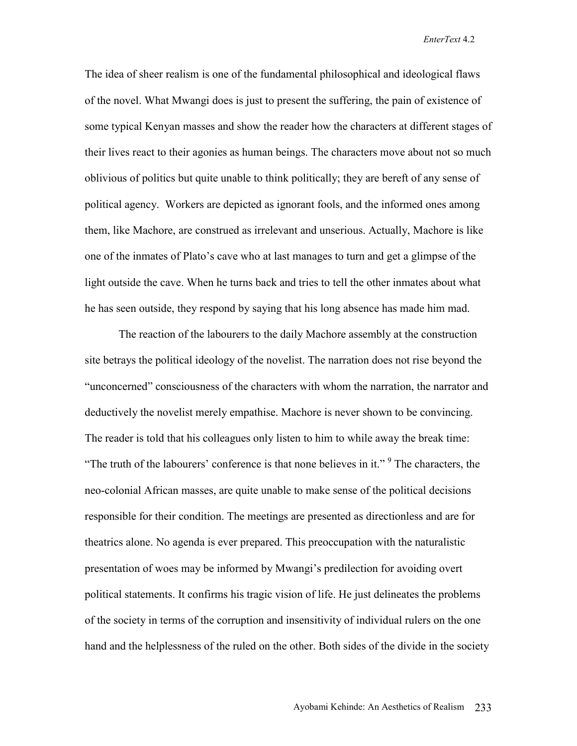The idea of sheer realism is one of the fundamental philosophical and ideological flaws of the novel. What Mwangi does is just to present the suffering, the pain of existence of some typical Kenyan masses and show the reader how the characters at different stages of their lives react to their agonies as human beings. The characters move about not so much oblivious of politics but quite unable to think politically; they are bereft of any sense of political agency. Workers are depicted as ignorant fools, and the informed ones among them, like Machore, are construed as irrelevant and unserious. Actually, Machore is like one of the inmates of Plato's cave who at last manages to turn and get a glimpse of the light outside the cave. When he turns back and tries to tell the other inmates about what he has seen outside, they respond by saying that his long absence has made him mad.

The reaction of the labourers to the daily Machore assembly at the construction site betrays the political ideology of the novelist. The narration does not rise beyond the "unconcerned" consciousness of the characters with whom the narration, the narrator and deductively the novelist merely empathise. Machore is never shown to be convincing. The reader is told that his colleagues only listen to him to while away the break time: "The truth of the labourers' conference is that none believes in it."  $9$  The characters, the neo-colonial African masses, are quite unable to make sense of the political decisions responsible for their condition. The meetings are presented as directionless and are for theatrics alone. No agenda is ever prepared. This preoccupation with the naturalistic presentation of woes may be informed by Mwangi's predilection for avoiding overt political statements. It confirms his tragic vision of life. He just delineates the problems of the society in terms of the corruption and insensitivity of individual rulers on the one hand and the helplessness of the ruled on the other. Both sides of the divide in the society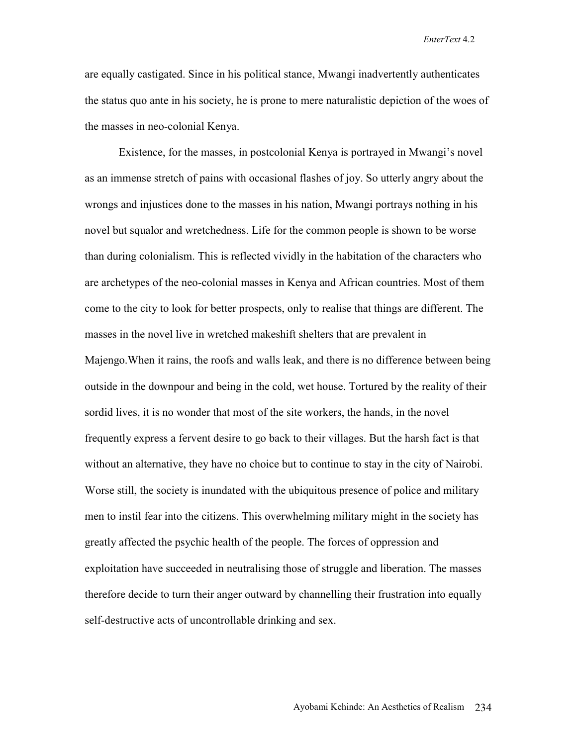are equally castigated. Since in his political stance, Mwangi inadvertently authenticates the status quo ante in his society, he is prone to mere naturalistic depiction of the woes of the masses in neo-colonial Kenya.

Existence, for the masses, in postcolonial Kenya is portrayed in Mwangi's novel as an immense stretch of pains with occasional flashes of joy. So utterly angry about the wrongs and injustices done to the masses in his nation, Mwangi portrays nothing in his novel but squalor and wretchedness. Life for the common people is shown to be worse than during colonialism. This is reflected vividly in the habitation of the characters who are archetypes of the neo-colonial masses in Kenya and African countries. Most of them come to the city to look for better prospects, only to realise that things are different. The masses in the novel live in wretched makeshift shelters that are prevalent in Majengo.When it rains, the roofs and walls leak, and there is no difference between being outside in the downpour and being in the cold, wet house. Tortured by the reality of their sordid lives, it is no wonder that most of the site workers, the hands, in the novel frequently express a fervent desire to go back to their villages. But the harsh fact is that without an alternative, they have no choice but to continue to stay in the city of Nairobi. Worse still, the society is inundated with the ubiquitous presence of police and military men to instil fear into the citizens. This overwhelming military might in the society has greatly affected the psychic health of the people. The forces of oppression and exploitation have succeeded in neutralising those of struggle and liberation. The masses therefore decide to turn their anger outward by channelling their frustration into equally self-destructive acts of uncontrollable drinking and sex.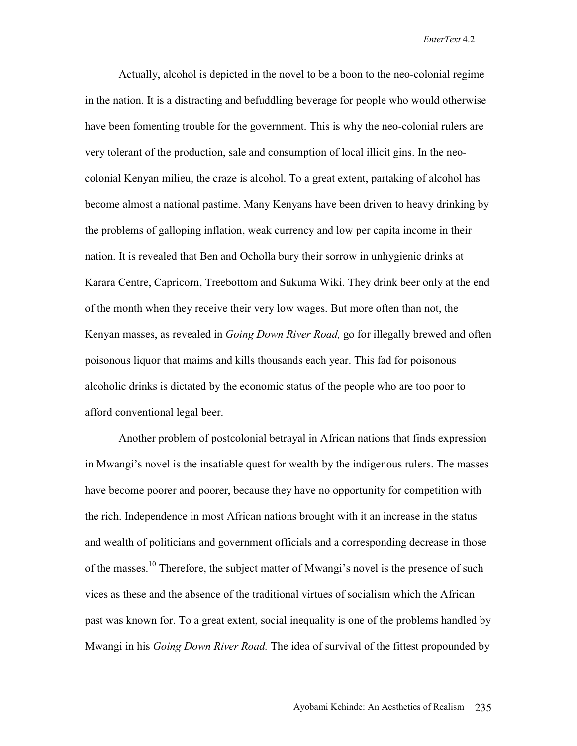Actually, alcohol is depicted in the novel to be a boon to the neo-colonial regime in the nation. It is a distracting and befuddling beverage for people who would otherwise have been fomenting trouble for the government. This is why the neo-colonial rulers are very tolerant of the production, sale and consumption of local illicit gins. In the neocolonial Kenyan milieu, the craze is alcohol. To a great extent, partaking of alcohol has become almost a national pastime. Many Kenyans have been driven to heavy drinking by the problems of galloping inflation, weak currency and low per capita income in their nation. It is revealed that Ben and Ocholla bury their sorrow in unhygienic drinks at Karara Centre, Capricorn, Treebottom and Sukuma Wiki. They drink beer only at the end of the month when they receive their very low wages. But more often than not, the Kenyan masses, as revealed in *Going Down River Road,* go for illegally brewed and often poisonous liquor that maims and kills thousands each year. This fad for poisonous alcoholic drinks is dictated by the economic status of the people who are too poor to afford conventional legal beer.

Another problem of postcolonial betrayal in African nations that finds expression in Mwangi's novel is the insatiable quest for wealth by the indigenous rulers. The masses have become poorer and poorer, because they have no opportunity for competition with the rich. Independence in most African nations brought with it an increase in the status and wealth of politicians and government officials and a corresponding decrease in those of the masses.<sup>10</sup> Therefore, the subject matter of Mwangi's novel is the presence of such vices as these and the absence of the traditional virtues of socialism which the African past was known for. To a great extent, social inequality is one of the problems handled by Mwangi in his *Going Down River Road.* The idea of survival of the fittest propounded by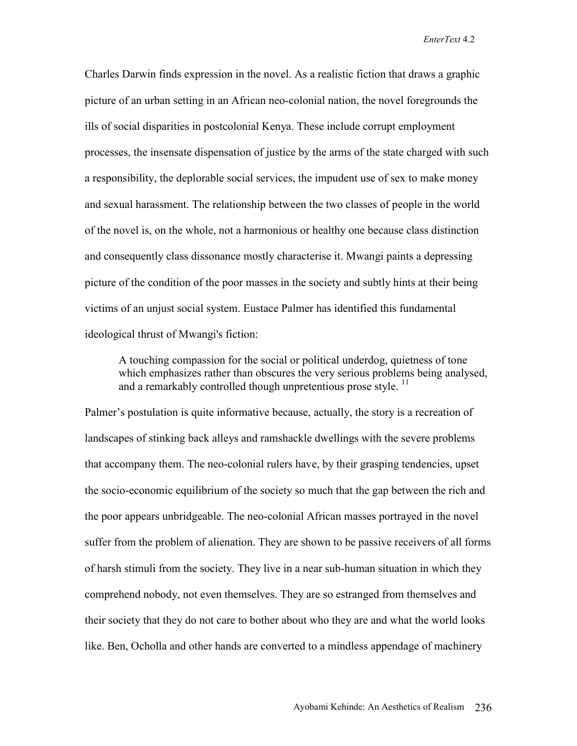Charles Darwin finds expression in the novel. As a realistic fiction that draws a graphic picture of an urban setting in an African neo-colonial nation, the novel foregrounds the ills of social disparities in postcolonial Kenya. These include corrupt employment processes, the insensate dispensation of justice by the arms of the state charged with such a responsibility, the deplorable social services, the impudent use of sex to make money and sexual harassment. The relationship between the two classes of people in the world of the novel is, on the whole, not a harmonious or healthy one because class distinction and consequently class dissonance mostly characterise it. Mwangi paints a depressing picture of the condition of the poor masses in the society and subtly hints at their being victims of an unjust social system. Eustace Palmer has identified this fundamental ideological thrust of Mwangi's fiction:

A touching compassion for the social or political underdog, quietness of tone which emphasizes rather than obscures the very serious problems being analysed, and a remarkably controlled though unpretentious prose style.  $\frac{11}{11}$ 

Palmer's postulation is quite informative because, actually, the story is a recreation of landscapes of stinking back alleys and ramshackle dwellings with the severe problems that accompany them. The neo-colonial rulers have, by their grasping tendencies, upset the socio-economic equilibrium of the society so much that the gap between the rich and the poor appears unbridgeable. The neo-colonial African masses portrayed in the novel suffer from the problem of alienation. They are shown to be passive receivers of all forms of harsh stimuli from the society. They live in a near sub-human situation in which they comprehend nobody, not even themselves. They are so estranged from themselves and their society that they do not care to bother about who they are and what the world looks like. Ben, Ocholla and other hands are converted to a mindless appendage of machinery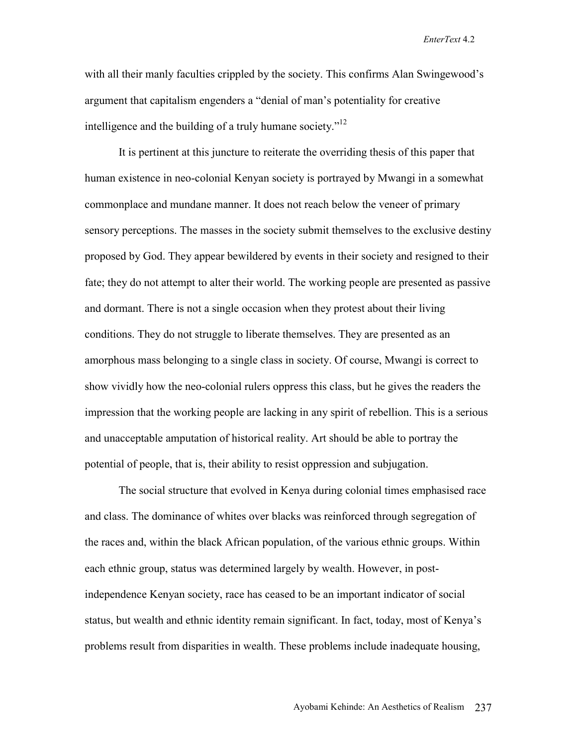with all their manly faculties crippled by the society. This confirms Alan Swingewood's argument that capitalism engenders a "denial of man's potentiality for creative intelligence and the building of a truly humane society.<sup> $12$ </sup>

It is pertinent at this juncture to reiterate the overriding thesis of this paper that human existence in neo-colonial Kenyan society is portrayed by Mwangi in a somewhat commonplace and mundane manner. It does not reach below the veneer of primary sensory perceptions. The masses in the society submit themselves to the exclusive destiny proposed by God. They appear bewildered by events in their society and resigned to their fate; they do not attempt to alter their world. The working people are presented as passive and dormant. There is not a single occasion when they protest about their living conditions. They do not struggle to liberate themselves. They are presented as an amorphous mass belonging to a single class in society. Of course, Mwangi is correct to show vividly how the neo-colonial rulers oppress this class, but he gives the readers the impression that the working people are lacking in any spirit of rebellion. This is a serious and unacceptable amputation of historical reality. Art should be able to portray the potential of people, that is, their ability to resist oppression and subjugation.

The social structure that evolved in Kenya during colonial times emphasised race and class. The dominance of whites over blacks was reinforced through segregation of the races and, within the black African population, of the various ethnic groups. Within each ethnic group, status was determined largely by wealth. However, in postindependence Kenyan society, race has ceased to be an important indicator of social status, but wealth and ethnic identity remain significant. In fact, today, most of Kenya's problems result from disparities in wealth. These problems include inadequate housing,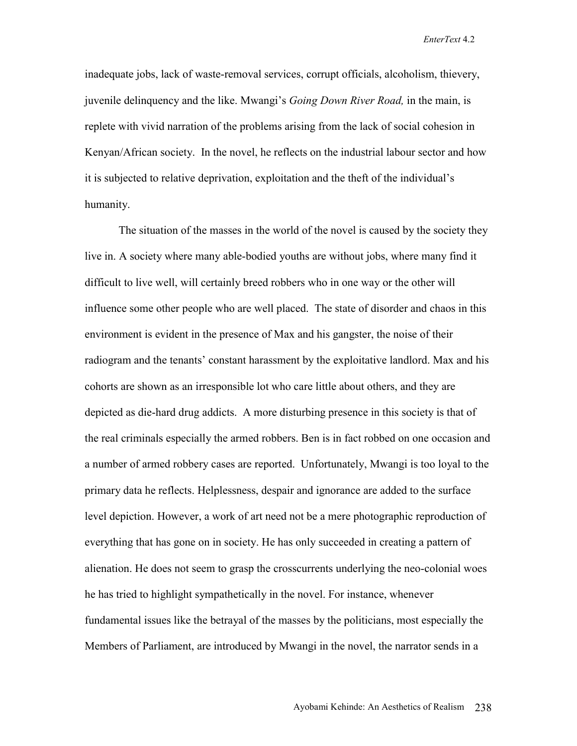inadequate jobs, lack of waste-removal services, corrupt officials, alcoholism, thievery, juvenile delinquency and the like. Mwangi's *Going Down River Road,* in the main, is replete with vivid narration of the problems arising from the lack of social cohesion in Kenyan/African society. In the novel, he reflects on the industrial labour sector and how it is subjected to relative deprivation, exploitation and the theft of the individual's humanity.

The situation of the masses in the world of the novel is caused by the society they live in. A society where many able-bodied youths are without jobs, where many find it difficult to live well, will certainly breed robbers who in one way or the other will influence some other people who are well placed. The state of disorder and chaos in this environment is evident in the presence of Max and his gangster, the noise of their radiogram and the tenants' constant harassment by the exploitative landlord. Max and his cohorts are shown as an irresponsible lot who care little about others, and they are depicted as die-hard drug addicts. A more disturbing presence in this society is that of the real criminals especially the armed robbers. Ben is in fact robbed on one occasion and a number of armed robbery cases are reported. Unfortunately, Mwangi is too loyal to the primary data he reflects. Helplessness, despair and ignorance are added to the surface level depiction. However, a work of art need not be a mere photographic reproduction of everything that has gone on in society. He has only succeeded in creating a pattern of alienation. He does not seem to grasp the crosscurrents underlying the neo-colonial woes he has tried to highlight sympathetically in the novel. For instance, whenever fundamental issues like the betrayal of the masses by the politicians, most especially the Members of Parliament, are introduced by Mwangi in the novel, the narrator sends in a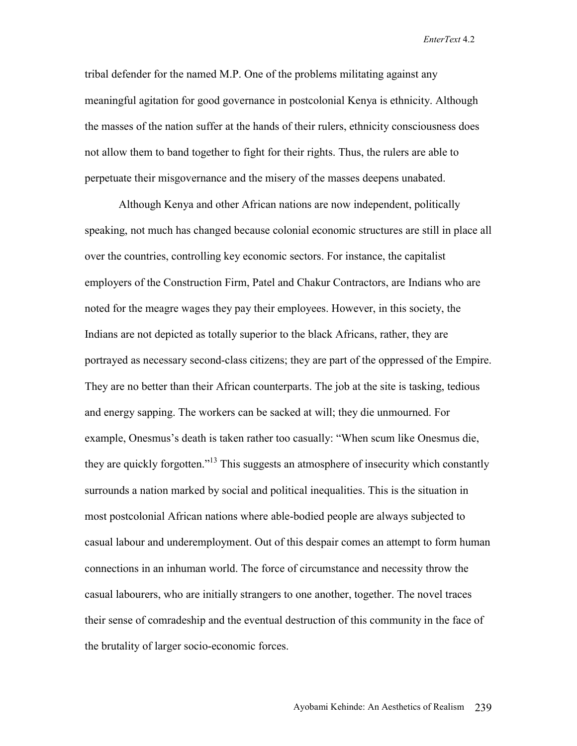tribal defender for the named M.P. One of the problems militating against any meaningful agitation for good governance in postcolonial Kenya is ethnicity. Although the masses of the nation suffer at the hands of their rulers, ethnicity consciousness does not allow them to band together to fight for their rights. Thus, the rulers are able to perpetuate their misgovernance and the misery of the masses deepens unabated.

Although Kenya and other African nations are now independent, politically speaking, not much has changed because colonial economic structures are still in place all over the countries, controlling key economic sectors. For instance, the capitalist employers of the Construction Firm, Patel and Chakur Contractors, are Indians who are noted for the meagre wages they pay their employees. However, in this society, the Indians are not depicted as totally superior to the black Africans, rather, they are portrayed as necessary second-class citizens; they are part of the oppressed of the Empire. They are no better than their African counterparts. The job at the site is tasking, tedious and energy sapping. The workers can be sacked at will; they die unmourned. For example, Onesmus's death is taken rather too casually: "When scum like Onesmus die, they are quickly forgotten."13 This suggests an atmosphere of insecurity which constantly surrounds a nation marked by social and political inequalities. This is the situation in most postcolonial African nations where able-bodied people are always subjected to casual labour and underemployment. Out of this despair comes an attempt to form human connections in an inhuman world. The force of circumstance and necessity throw the casual labourers, who are initially strangers to one another, together. The novel traces their sense of comradeship and the eventual destruction of this community in the face of the brutality of larger socio-economic forces.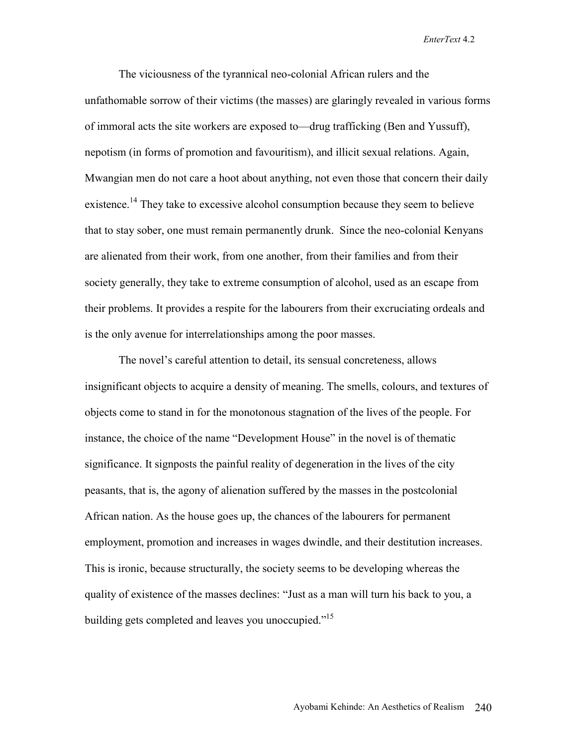The viciousness of the tyrannical neo-colonial African rulers and the unfathomable sorrow of their victims (the masses) are glaringly revealed in various forms of immoral acts the site workers are exposed to—drug trafficking (Ben and Yussuff), nepotism (in forms of promotion and favouritism), and illicit sexual relations. Again, Mwangian men do not care a hoot about anything, not even those that concern their daily existence.<sup>14</sup> They take to excessive alcohol consumption because they seem to believe that to stay sober, one must remain permanently drunk. Since the neo-colonial Kenyans are alienated from their work, from one another, from their families and from their society generally, they take to extreme consumption of alcohol, used as an escape from their problems. It provides a respite for the labourers from their excruciating ordeals and is the only avenue for interrelationships among the poor masses.

The novel's careful attention to detail, its sensual concreteness, allows insignificant objects to acquire a density of meaning. The smells, colours, and textures of objects come to stand in for the monotonous stagnation of the lives of the people. For instance, the choice of the name "Development House" in the novel is of thematic significance. It signposts the painful reality of degeneration in the lives of the city peasants, that is, the agony of alienation suffered by the masses in the postcolonial African nation. As the house goes up, the chances of the labourers for permanent employment, promotion and increases in wages dwindle, and their destitution increases. This is ironic, because structurally, the society seems to be developing whereas the quality of existence of the masses declines: "Just as a man will turn his back to you, a building gets completed and leaves you unoccupied."<sup>15</sup>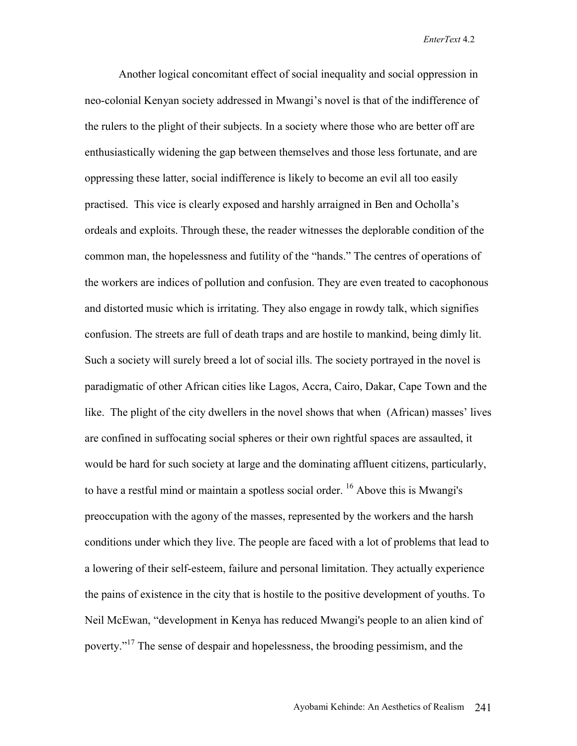Another logical concomitant effect of social inequality and social oppression in neo-colonial Kenyan society addressed in Mwangi's novel is that of the indifference of the rulers to the plight of their subjects. In a society where those who are better off are enthusiastically widening the gap between themselves and those less fortunate, and are oppressing these latter, social indifference is likely to become an evil all too easily practised. This vice is clearly exposed and harshly arraigned in Ben and Ocholla's ordeals and exploits. Through these, the reader witnesses the deplorable condition of the common man, the hopelessness and futility of the "hands." The centres of operations of the workers are indices of pollution and confusion. They are even treated to cacophonous and distorted music which is irritating. They also engage in rowdy talk, which signifies confusion. The streets are full of death traps and are hostile to mankind, being dimly lit. Such a society will surely breed a lot of social ills. The society portrayed in the novel is paradigmatic of other African cities like Lagos, Accra, Cairo, Dakar, Cape Town and the like. The plight of the city dwellers in the novel shows that when (African) masses' lives are confined in suffocating social spheres or their own rightful spaces are assaulted, it would be hard for such society at large and the dominating affluent citizens, particularly, to have a restful mind or maintain a spotless social order. <sup>16</sup> Above this is Mwangi's preoccupation with the agony of the masses, represented by the workers and the harsh conditions under which they live. The people are faced with a lot of problems that lead to a lowering of their self-esteem, failure and personal limitation. They actually experience the pains of existence in the city that is hostile to the positive development of youths. To Neil McEwan, "development in Kenya has reduced Mwangi's people to an alien kind of poverty."<sup>17</sup> The sense of despair and hopelessness, the brooding pessimism, and the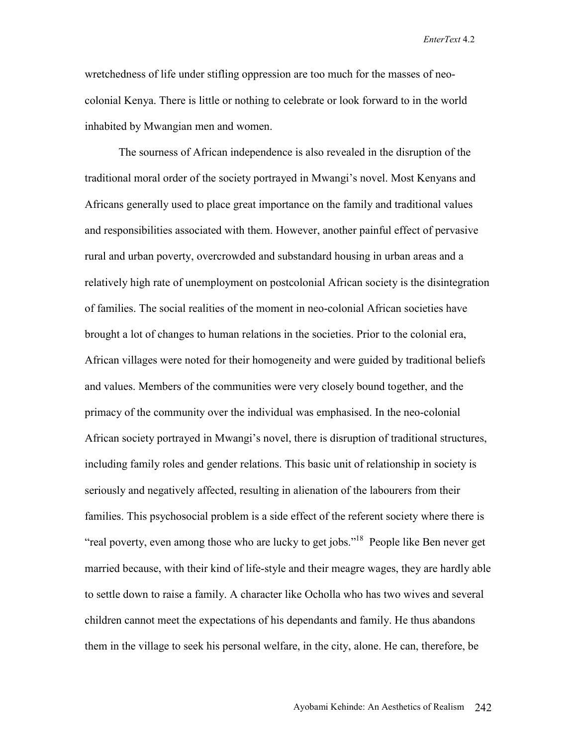wretchedness of life under stifling oppression are too much for the masses of neocolonial Kenya. There is little or nothing to celebrate or look forward to in the world inhabited by Mwangian men and women.

The sourness of African independence is also revealed in the disruption of the traditional moral order of the society portrayed in Mwangi's novel. Most Kenyans and Africans generally used to place great importance on the family and traditional values and responsibilities associated with them. However, another painful effect of pervasive rural and urban poverty, overcrowded and substandard housing in urban areas and a relatively high rate of unemployment on postcolonial African society is the disintegration of families. The social realities of the moment in neo-colonial African societies have brought a lot of changes to human relations in the societies. Prior to the colonial era, African villages were noted for their homogeneity and were guided by traditional beliefs and values. Members of the communities were very closely bound together, and the primacy of the community over the individual was emphasised. In the neo-colonial African society portrayed in Mwangi's novel, there is disruption of traditional structures, including family roles and gender relations. This basic unit of relationship in society is seriously and negatively affected, resulting in alienation of the labourers from their families. This psychosocial problem is a side effect of the referent society where there is "real poverty, even among those who are lucky to get jobs."18 People like Ben never get married because, with their kind of life-style and their meagre wages, they are hardly able to settle down to raise a family. A character like Ocholla who has two wives and several children cannot meet the expectations of his dependants and family. He thus abandons them in the village to seek his personal welfare, in the city, alone. He can, therefore, be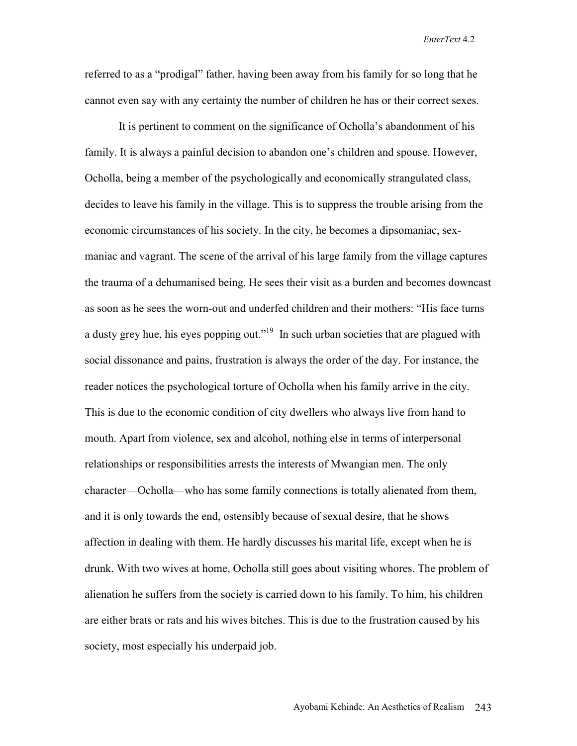referred to as a "prodigal" father, having been away from his family for so long that he cannot even say with any certainty the number of children he has or their correct sexes.

It is pertinent to comment on the significance of Ocholla's abandonment of his family. It is always a painful decision to abandon one's children and spouse. However, Ocholla, being a member of the psychologically and economically strangulated class, decides to leave his family in the village. This is to suppress the trouble arising from the economic circumstances of his society. In the city, he becomes a dipsomaniac, sexmaniac and vagrant. The scene of the arrival of his large family from the village captures the trauma of a dehumanised being. He sees their visit as a burden and becomes downcast as soon as he sees the worn-out and underfed children and their mothers: "His face turns a dusty grey hue, his eyes popping out."<sup>19</sup> In such urban societies that are plagued with social dissonance and pains, frustration is always the order of the day. For instance, the reader notices the psychological torture of Ocholla when his family arrive in the city. This is due to the economic condition of city dwellers who always live from hand to mouth. Apart from violence, sex and alcohol, nothing else in terms of interpersonal relationships or responsibilities arrests the interests of Mwangian men. The only character—Ocholla—who has some family connections is totally alienated from them, and it is only towards the end, ostensibly because of sexual desire, that he shows affection in dealing with them. He hardly discusses his marital life, except when he is drunk. With two wives at home, Ocholla still goes about visiting whores. The problem of alienation he suffers from the society is carried down to his family. To him, his children are either brats or rats and his wives bitches. This is due to the frustration caused by his society, most especially his underpaid job.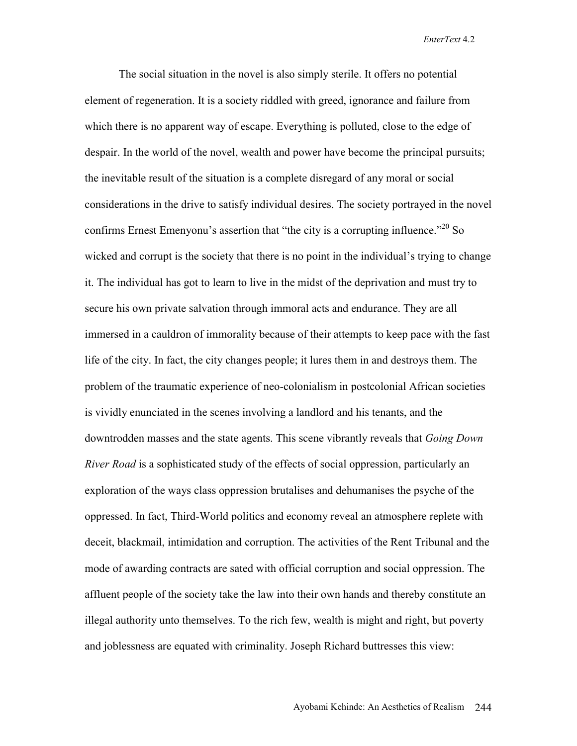The social situation in the novel is also simply sterile. It offers no potential element of regeneration. It is a society riddled with greed, ignorance and failure from which there is no apparent way of escape. Everything is polluted, close to the edge of despair. In the world of the novel, wealth and power have become the principal pursuits; the inevitable result of the situation is a complete disregard of any moral or social considerations in the drive to satisfy individual desires. The society portrayed in the novel confirms Ernest Emenyonu's assertion that "the city is a corrupting influence."<sup>20</sup> So wicked and corrupt is the society that there is no point in the individual's trying to change it. The individual has got to learn to live in the midst of the deprivation and must try to secure his own private salvation through immoral acts and endurance. They are all immersed in a cauldron of immorality because of their attempts to keep pace with the fast life of the city. In fact, the city changes people; it lures them in and destroys them. The problem of the traumatic experience of neo-colonialism in postcolonial African societies is vividly enunciated in the scenes involving a landlord and his tenants, and the downtrodden masses and the state agents. This scene vibrantly reveals that *Going Down River Road* is a sophisticated study of the effects of social oppression, particularly an exploration of the ways class oppression brutalises and dehumanises the psyche of the oppressed. In fact, Third-World politics and economy reveal an atmosphere replete with deceit, blackmail, intimidation and corruption. The activities of the Rent Tribunal and the mode of awarding contracts are sated with official corruption and social oppression. The affluent people of the society take the law into their own hands and thereby constitute an illegal authority unto themselves. To the rich few, wealth is might and right, but poverty and joblessness are equated with criminality. Joseph Richard buttresses this view: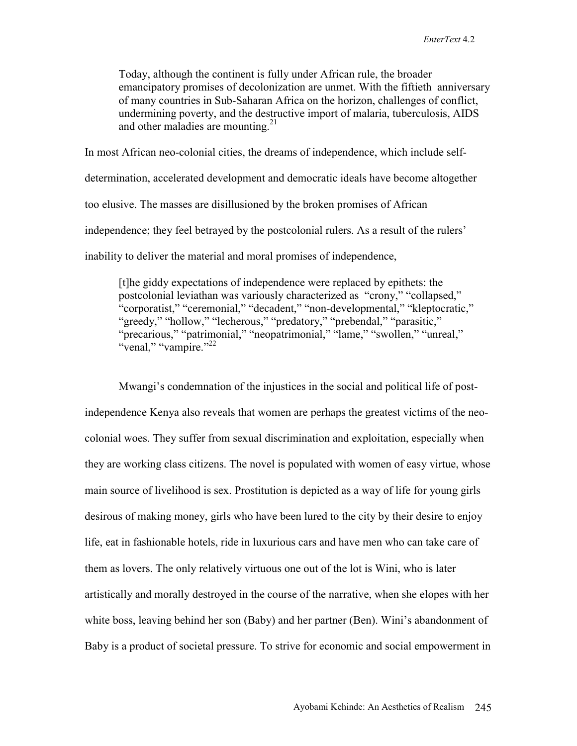Today, although the continent is fully under African rule, the broader emancipatory promises of decolonization are unmet. With the fiftieth anniversary of many countries in Sub-Saharan Africa on the horizon, challenges of conflict, undermining poverty, and the destructive import of malaria, tuberculosis, AIDS and other maladies are mounting. $2<sup>1</sup>$ 

In most African neo-colonial cities, the dreams of independence, which include selfdetermination, accelerated development and democratic ideals have become altogether too elusive. The masses are disillusioned by the broken promises of African independence; they feel betrayed by the postcolonial rulers. As a result of the rulers' inability to deliver the material and moral promises of independence,

[t]he giddy expectations of independence were replaced by epithets: the postcolonial leviathan was variously characterized as "crony," "collapsed," "corporatist," "ceremonial," "decadent," "non-developmental," "kleptocratic," "greedy," "hollow," "lecherous," "predatory," "prebendal," "parasitic," "precarious," "patrimonial," "neopatrimonial," "lame," "swollen," "unreal," "venal," "vampire."<sup>22</sup>

Mwangi's condemnation of the injustices in the social and political life of postindependence Kenya also reveals that women are perhaps the greatest victims of the neocolonial woes. They suffer from sexual discrimination and exploitation, especially when they are working class citizens. The novel is populated with women of easy virtue, whose main source of livelihood is sex. Prostitution is depicted as a way of life for young girls desirous of making money, girls who have been lured to the city by their desire to enjoy life, eat in fashionable hotels, ride in luxurious cars and have men who can take care of them as lovers. The only relatively virtuous one out of the lot is Wini, who is later artistically and morally destroyed in the course of the narrative, when she elopes with her white boss, leaving behind her son (Baby) and her partner (Ben). Wini's abandonment of Baby is a product of societal pressure. To strive for economic and social empowerment in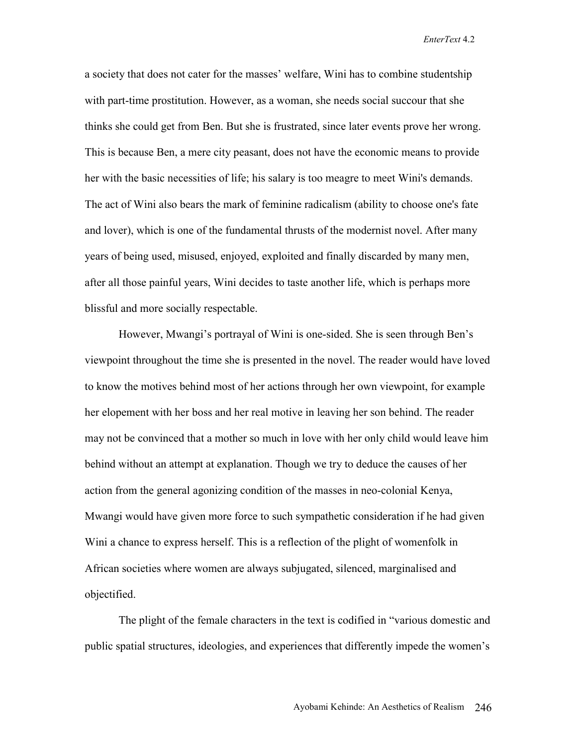a society that does not cater for the masses' welfare, Wini has to combine studentship with part-time prostitution. However, as a woman, she needs social succour that she thinks she could get from Ben. But she is frustrated, since later events prove her wrong. This is because Ben, a mere city peasant, does not have the economic means to provide her with the basic necessities of life; his salary is too meagre to meet Wini's demands. The act of Wini also bears the mark of feminine radicalism (ability to choose one's fate and lover), which is one of the fundamental thrusts of the modernist novel. After many years of being used, misused, enjoyed, exploited and finally discarded by many men, after all those painful years, Wini decides to taste another life, which is perhaps more blissful and more socially respectable.

However, Mwangi's portrayal of Wini is one-sided. She is seen through Ben's viewpoint throughout the time she is presented in the novel. The reader would have loved to know the motives behind most of her actions through her own viewpoint, for example her elopement with her boss and her real motive in leaving her son behind. The reader may not be convinced that a mother so much in love with her only child would leave him behind without an attempt at explanation. Though we try to deduce the causes of her action from the general agonizing condition of the masses in neo-colonial Kenya, Mwangi would have given more force to such sympathetic consideration if he had given Wini a chance to express herself. This is a reflection of the plight of womenfolk in African societies where women are always subjugated, silenced, marginalised and objectified.

The plight of the female characters in the text is codified in "various domestic and public spatial structures, ideologies, and experiences that differently impede the women's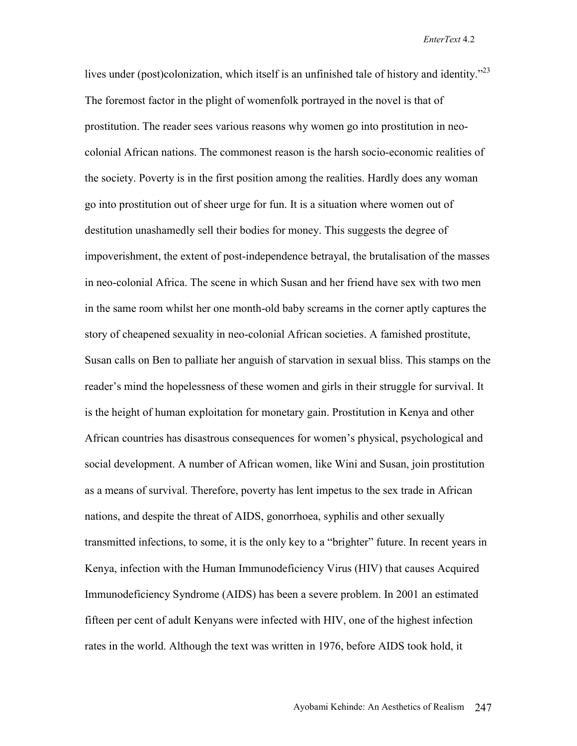lives under (post)colonization, which itself is an unfinished tale of history and identity."<sup>23</sup> The foremost factor in the plight of womenfolk portrayed in the novel is that of prostitution. The reader sees various reasons why women go into prostitution in neocolonial African nations. The commonest reason is the harsh socio-economic realities of the society. Poverty is in the first position among the realities. Hardly does any woman go into prostitution out of sheer urge for fun. It is a situation where women out of destitution unashamedly sell their bodies for money. This suggests the degree of impoverishment, the extent of post-independence betrayal, the brutalisation of the masses in neo-colonial Africa. The scene in which Susan and her friend have sex with two men in the same room whilst her one month-old baby screams in the corner aptly captures the story of cheapened sexuality in neo-colonial African societies. A famished prostitute, Susan calls on Ben to palliate her anguish of starvation in sexual bliss. This stamps on the reader's mind the hopelessness of these women and girls in their struggle for survival. It is the height of human exploitation for monetary gain. Prostitution in Kenya and other African countries has disastrous consequences for women's physical, psychological and social development. A number of African women, like Wini and Susan, join prostitution as a means of survival. Therefore, poverty has lent impetus to the sex trade in African nations, and despite the threat of AIDS, gonorrhoea, syphilis and other sexually transmitted infections, to some, it is the only key to a "brighter" future. In recent years in Kenya, infection with the Human Immunodeficiency Virus (HIV) that causes Acquired Immunodeficiency Syndrome (AIDS) has been a severe problem. In 2001 an estimated fifteen per cent of adult Kenyans were infected with HIV, one of the highest infection rates in the world. Although the text was written in 1976, before AIDS took hold, it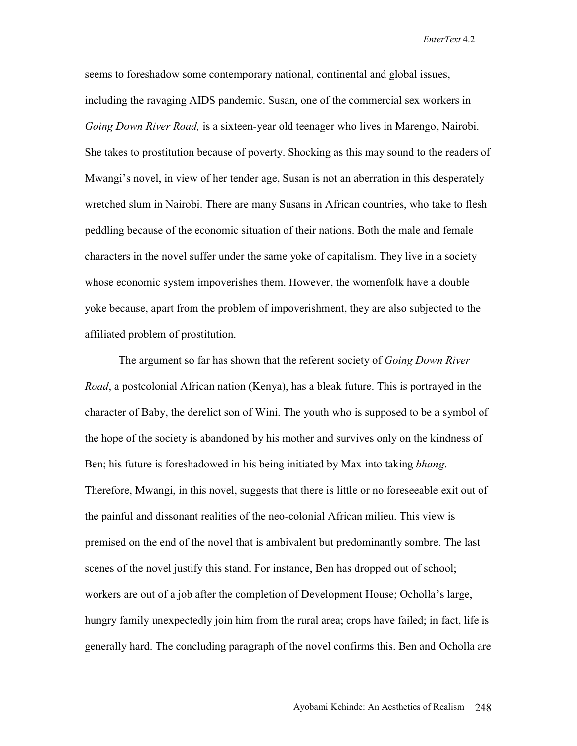seems to foreshadow some contemporary national, continental and global issues, including the ravaging AIDS pandemic. Susan, one of the commercial sex workers in *Going Down River Road,* is a sixteen-year old teenager who lives in Marengo, Nairobi. She takes to prostitution because of poverty. Shocking as this may sound to the readers of Mwangi's novel, in view of her tender age, Susan is not an aberration in this desperately wretched slum in Nairobi. There are many Susans in African countries, who take to flesh peddling because of the economic situation of their nations. Both the male and female characters in the novel suffer under the same yoke of capitalism. They live in a society whose economic system impoverishes them. However, the womenfolk have a double yoke because, apart from the problem of impoverishment, they are also subjected to the affiliated problem of prostitution.

The argument so far has shown that the referent society of *Going Down River Road*, a postcolonial African nation (Kenya), has a bleak future. This is portrayed in the character of Baby, the derelict son of Wini. The youth who is supposed to be a symbol of the hope of the society is abandoned by his mother and survives only on the kindness of Ben; his future is foreshadowed in his being initiated by Max into taking *bhang*. Therefore, Mwangi, in this novel, suggests that there is little or no foreseeable exit out of the painful and dissonant realities of the neo-colonial African milieu. This view is premised on the end of the novel that is ambivalent but predominantly sombre. The last scenes of the novel justify this stand. For instance, Ben has dropped out of school; workers are out of a job after the completion of Development House; Ocholla's large, hungry family unexpectedly join him from the rural area; crops have failed; in fact, life is generally hard. The concluding paragraph of the novel confirms this. Ben and Ocholla are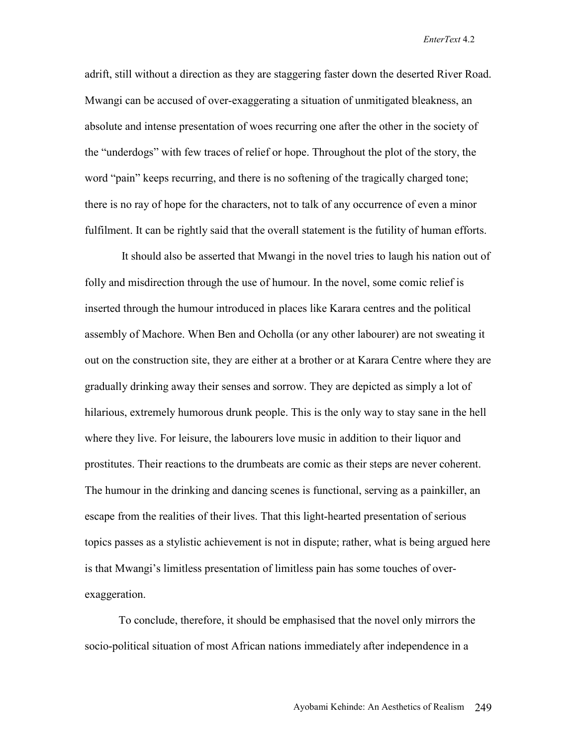adrift, still without a direction as they are staggering faster down the deserted River Road. Mwangi can be accused of over-exaggerating a situation of unmitigated bleakness, an absolute and intense presentation of woes recurring one after the other in the society of the "underdogs" with few traces of relief or hope. Throughout the plot of the story, the word "pain" keeps recurring, and there is no softening of the tragically charged tone; there is no ray of hope for the characters, not to talk of any occurrence of even a minor fulfilment. It can be rightly said that the overall statement is the futility of human efforts.

 It should also be asserted that Mwangi in the novel tries to laugh his nation out of folly and misdirection through the use of humour. In the novel, some comic relief is inserted through the humour introduced in places like Karara centres and the political assembly of Machore. When Ben and Ocholla (or any other labourer) are not sweating it out on the construction site, they are either at a brother or at Karara Centre where they are gradually drinking away their senses and sorrow. They are depicted as simply a lot of hilarious, extremely humorous drunk people. This is the only way to stay sane in the hell where they live. For leisure, the labourers love music in addition to their liquor and prostitutes. Their reactions to the drumbeats are comic as their steps are never coherent. The humour in the drinking and dancing scenes is functional, serving as a painkiller, an escape from the realities of their lives. That this light-hearted presentation of serious topics passes as a stylistic achievement is not in dispute; rather, what is being argued here is that Mwangi's limitless presentation of limitless pain has some touches of overexaggeration.

To conclude, therefore, it should be emphasised that the novel only mirrors the socio-political situation of most African nations immediately after independence in a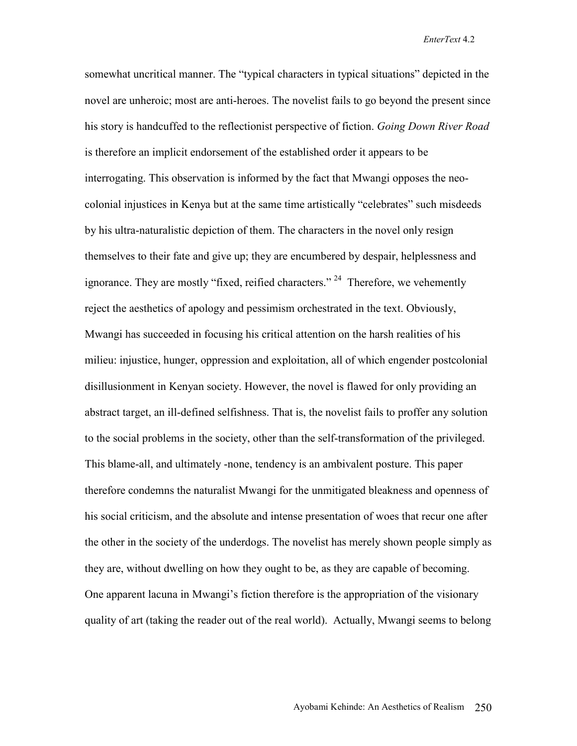somewhat uncritical manner. The "typical characters in typical situations" depicted in the novel are unheroic; most are anti-heroes. The novelist fails to go beyond the present since his story is handcuffed to the reflectionist perspective of fiction. *Going Down River Road*  is therefore an implicit endorsement of the established order it appears to be interrogating. This observation is informed by the fact that Mwangi opposes the neocolonial injustices in Kenya but at the same time artistically "celebrates" such misdeeds by his ultra-naturalistic depiction of them. The characters in the novel only resign themselves to their fate and give up; they are encumbered by despair, helplessness and ignorance. They are mostly "fixed, reified characters." 24 Therefore, we vehemently reject the aesthetics of apology and pessimism orchestrated in the text. Obviously, Mwangi has succeeded in focusing his critical attention on the harsh realities of his milieu: injustice, hunger, oppression and exploitation, all of which engender postcolonial disillusionment in Kenyan society. However, the novel is flawed for only providing an abstract target, an ill-defined selfishness. That is, the novelist fails to proffer any solution to the social problems in the society, other than the self-transformation of the privileged. This blame-all, and ultimately -none, tendency is an ambivalent posture. This paper therefore condemns the naturalist Mwangi for the unmitigated bleakness and openness of his social criticism, and the absolute and intense presentation of woes that recur one after the other in the society of the underdogs. The novelist has merely shown people simply as they are, without dwelling on how they ought to be, as they are capable of becoming. One apparent lacuna in Mwangi's fiction therefore is the appropriation of the visionary quality of art (taking the reader out of the real world). Actually, Mwangi seems to belong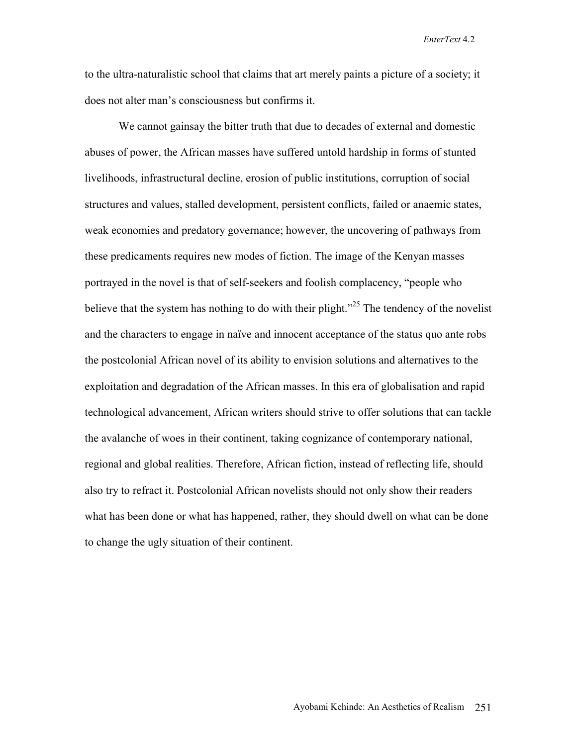to the ultra-naturalistic school that claims that art merely paints a picture of a society; it does not alter man's consciousness but confirms it.

 We cannot gainsay the bitter truth that due to decades of external and domestic abuses of power, the African masses have suffered untold hardship in forms of stunted livelihoods, infrastructural decline, erosion of public institutions, corruption of social structures and values, stalled development, persistent conflicts, failed or anaemic states, weak economies and predatory governance; however, the uncovering of pathways from these predicaments requires new modes of fiction. The image of the Kenyan masses portrayed in the novel is that of self-seekers and foolish complacency, "people who believe that the system has nothing to do with their plight."<sup>25</sup> The tendency of the novelist and the characters to engage in naïve and innocent acceptance of the status quo ante robs the postcolonial African novel of its ability to envision solutions and alternatives to the exploitation and degradation of the African masses. In this era of globalisation and rapid technological advancement, African writers should strive to offer solutions that can tackle the avalanche of woes in their continent, taking cognizance of contemporary national, regional and global realities. Therefore, African fiction, instead of reflecting life, should also try to refract it. Postcolonial African novelists should not only show their readers what has been done or what has happened, rather, they should dwell on what can be done to change the ugly situation of their continent.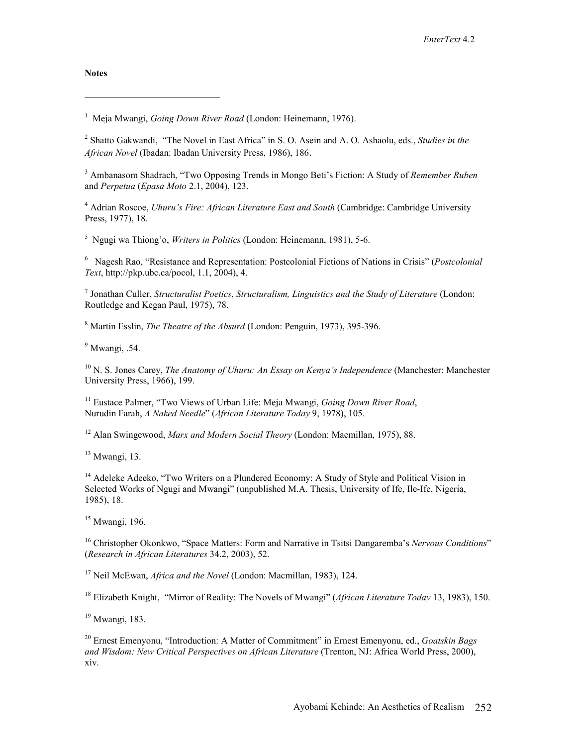## **Notes**

 $\overline{a}$ 

<sup>1</sup> Meja Mwangi, *Going Down River Road* (London: Heinemann, 1976).

2 Shatto Gakwandi, "The Novel in East Africa" in S. O. Asein and A. O. Ashaolu, eds., *Studies in the African Novel* (Ibadan: Ibadan University Press, 1986), 186.

3 Ambanasom Shadrach, "Two Opposing Trends in Mongo Beti's Fiction: A Study of *Remember Ruben* and *Perpetua* (*Epasa Moto* 2.1, 2004), 123.

4 Adrian Roscoe, *Uhuru's Fire: African Literature East and South* (Cambridge: Cambridge University Press, 1977), 18.

5 Ngugi wa Thiong'o, *Writers in Politics* (London: Heinemann, 1981), 5-6.

6 Nagesh Rao, "Resistance and Representation: Postcolonial Fictions of Nations in Crisis" (*Postcolonial Text*, http://pkp.ubc.ca/pocol, 1.1, 2004), 4.

7 Jonathan Culler, *Structuralist Poetics*, *Structuralism, Linguistics and the Study of Literature* (London: Routledge and Kegan Paul, 1975), 78.

8 Martin Esslin, *The Theatre of the Absurd* (London: Penguin, 1973), 395-396.

 $<sup>9</sup>$  Mwangi, .54.</sup>

10 N. S. Jones Carey, *The Anatomy of Uhuru: An Essay on Kenya's Independence* (Manchester: Manchester University Press, 1966), 199.

11 Eustace Palmer, "Two Views of Urban Life: Meja Mwangi, *Going Down River Road*, Nurudin Farah, *A Naked Needle*" (*African Literature Today* 9, 1978), 105.

12 Alan Swingewood, *Marx and Modern Social Theory* (London: Macmillan, 1975), 88.

 $13$  Mwangi, 13.

<sup>14</sup> Adeleke Adeeko, "Two Writers on a Plundered Economy: A Study of Style and Political Vision in Selected Works of Ngugi and Mwangi" (unpublished M.A. Thesis, University of Ife, Ile-Ife, Nigeria, 1985), 18.

 $15$  Mwangi, 196.

16 Christopher Okonkwo, "Space Matters: Form and Narrative in Tsitsi Dangaremba's *Nervous Conditions*" (*Research in African Literatures* 34.2, 2003), 52.

17 Neil McEwan, *Africa and the Novel* (London: Macmillan, 1983), 124.

18 Elizabeth Knight, "Mirror of Reality: The Novels of Mwangi" (*African Literature Today* 13, 1983), 150.

19 Mwangi, 183.

20 Ernest Emenyonu, "Introduction: A Matter of Commitment" in Ernest Emenyonu, ed., *Goatskin Bags and Wisdom: New Critical Perspectives on African Literature* (Trenton, NJ: Africa World Press, 2000), xiv.